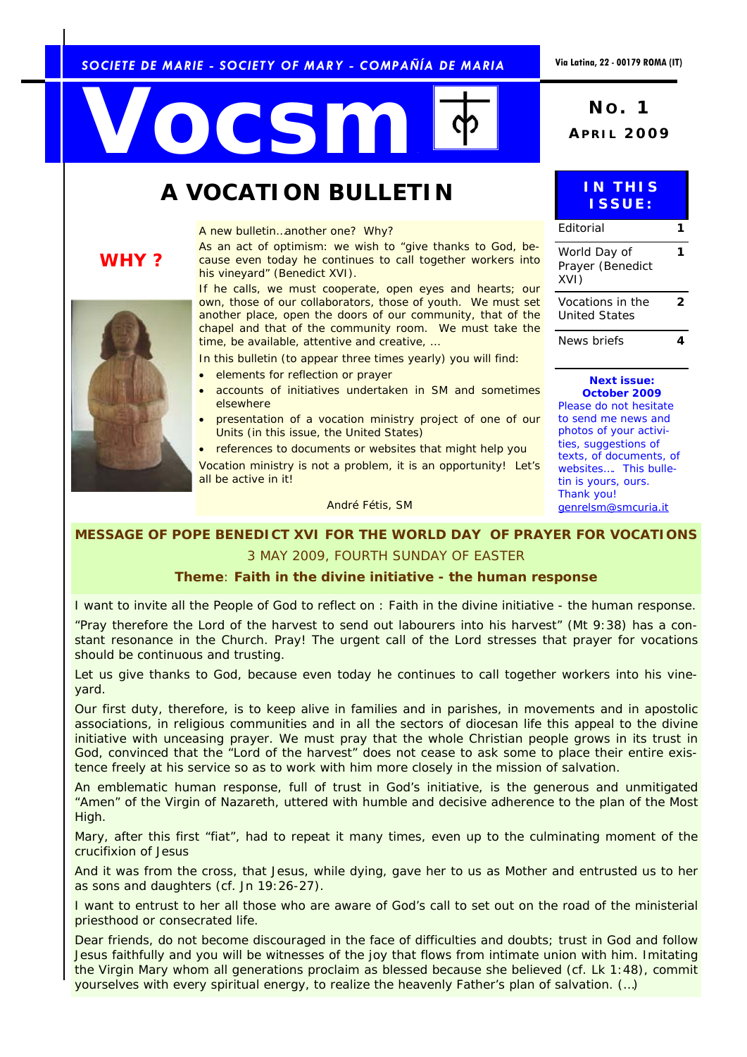#### *SOCIETE DE MARIE - SOCIETY OF MARY - COMPAÑÍA DE MARIA*

# **NO. 5 2009 No. 1 APRIL 2009**

### **A VOCATION BULLETIN**

*A new bulletin…another one? Why?* 

*As an act of optimism: we wish to "give thanks to God, because even today he continues to call together workers into his vineyard" (Benedict XVI).* 

*If he calls, we must cooperate, open eyes and hearts; our own, those of our collaborators, those of youth. We must set another place, open the doors of our community, that of the chapel and that of the community room. We must take the time, be available, attentive and creative, …* 

*In this bulletin (to appear three times yearly) you will find:* 

- *elements for reflection or prayer* 
	- *accounts of initiatives undertaken in SM and sometimes elsewhere*
- *presentation of a vocation ministry project of one of our Units (in this issue, the United States)*
- *references to documents or websites that might help you*

*Vocation ministry is not a problem, it is an opportunity! Let's all be active in it!* 

*André Fétis, SM* 

#### *MESSAGE OF POPE BENEDICT XVI FOR THE WORLD DAY OF PRAYER FOR VOCATIONS*

#### 3 MAY 2009, FOURTH SUNDAY OF EASTER

#### **Theme**: *Faith in the divine initiative - the human response*

I want to invite all the People of God to reflect on : *Faith in the divine initiative - the human response.* 

"Pray therefore the Lord of the harvest to send out labourers into his harvest" (*Mt* 9:38) has a constant resonance in the Church. Pray! The urgent call of the Lord stresses that prayer for vocations should be continuous and trusting.

Let us give thanks to God, because even today he continues to call together workers into his vineyard.

Our first duty, therefore, is to keep alive in families and in parishes, in movements and in apostolic associations, in religious communities and in all the sectors of diocesan life this appeal to the divine initiative with unceasing prayer. We must pray that the whole Christian people grows in its trust in God, convinced that the "Lord of the harvest" does not cease to ask some to place their entire existence freely at his service so as to work with him more closely in the mission of salvation.

An emblematic human response, full of trust in God's initiative, is the generous and unmitigated "Amen" of the Virgin of Nazareth, uttered with humble and decisive adherence to the plan of the Most High.

Mary, after this first "fiat", had to repeat it many times, even up to the culminating moment of the crucifixion of Jesus

And it was from the cross, that Jesus, while dying, gave her to us as Mother and entrusted us to her as sons and daughters (cf. *Jn* 19:26-27).

I want to entrust to her all those who are aware of God's call to set out on the road of the ministerial priesthood or consecrated life.

Dear friends, do not become discouraged in the face of difficulties and doubts; trust in God and follow Jesus faithfully and you will be witnesses of the joy that flows from intimate union with him. Imitating the Virgin Mary whom all generations proclaim as blessed because she believed (cf. *Lk* 1:48), commit yourselves with every spiritual energy, to realize the heavenly Father's plan of salvation. (…)



*WHY ?* 

|   |               | <b>INTHIS</b> |  |
|---|---------------|---------------|--|
|   |               |               |  |
|   | <b>ISSUE:</b> |               |  |
|   |               |               |  |
| . |               |               |  |

| Fditorial                                |   |
|------------------------------------------|---|
| World Day of<br>Prayer (Benedict<br>XVI) |   |
| Vocations in the<br>United States        | 2 |
| News briefs                              |   |

*Next issue: October 2009 Please do not hesitate to send me news and photos of your activities, suggestions of texts, of documents, of websites…. This bulletin is yours, ours. Thank you! genrelsm@smcuria.it*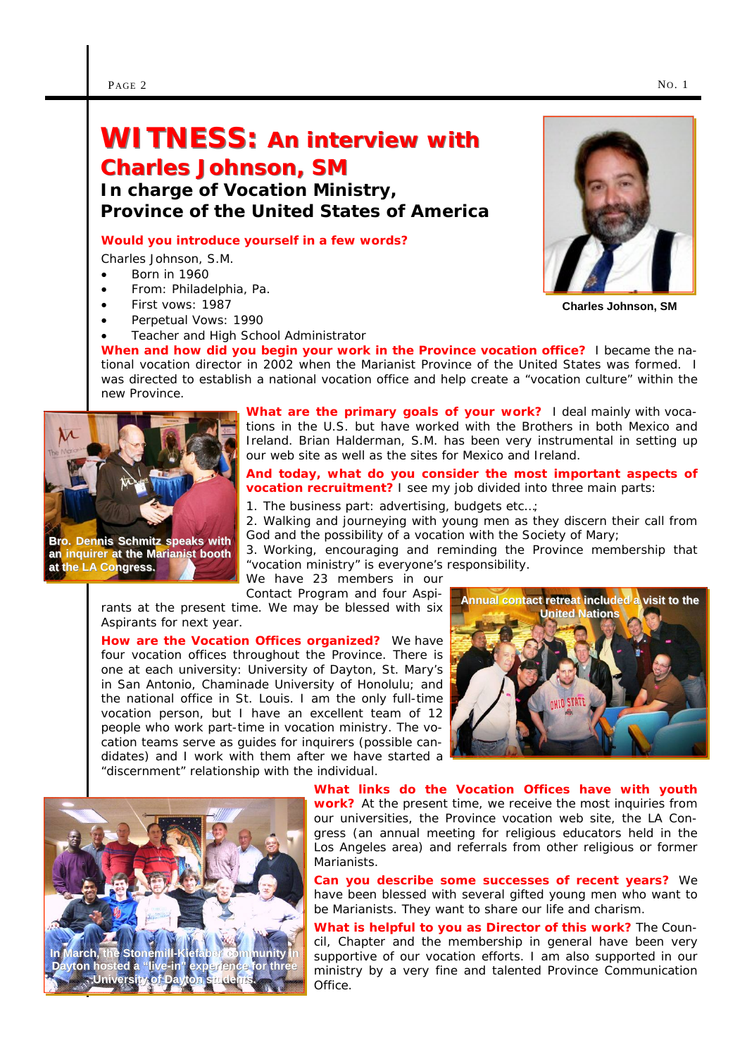## **WITNESS: An interview with Charles Johnson, SM**

*In charge of Vocation Ministry, Province of the United States of America* 

#### **Would you introduce yourself in a few words?**

Charles Johnson, S.M.

- Born in 1960
- From: Philadelphia, Pa.
- First vows: 1987
- Perpetual Vows: 1990
- Teacher and High School Administrator

**When and how did you begin your work in the Province vocation office?** I became the national vocation director in 2002 when the Marianist Province of the United States was formed. I was directed to establish a national vocation office and help create a "vocation culture" within the new Province.



**Bro. Dennis Schmitz speaks with an inquirer at the Marianist booth an inquirer at the Marianist booth at the LA Congress.** 

**What are the primary goals of your work?** I deal mainly with vocations in the U.S. but have worked with the Brothers in both Mexico and Ireland. Brian Halderman, S.M. has been very instrumental in setting up our web site as well as the sites for Mexico and Ireland.

#### **And today, what do you consider the most important aspects of vocation recruitment?** I see my job divided into three main parts:

1. The business part: advertising, budgets etc…;

2. Walking and journeying with young men as they discern their call from God and the possibility of a vocation with the Society of Mary;

3. Working, encouraging and reminding the Province membership that "vocation ministry" is everyone's responsibility.

We have 23 members in our Contact Program and four Aspi-

rants at the present time. We may be blessed with six Aspirants for next year.

**How are the Vocation Offices organized?** We have four vocation offices throughout the Province. There is one at each university: University of Dayton, St. Mary's in San Antonio, Chaminade University of Honolulu; and the national office in St. Louis. I am the only full-time vocation person, but I have an excellent team of 12 people who work part-time in vocation ministry. The vocation teams serve as guides for inquirers (possible candidates) and I work with them after we have started a "discernment" relationship with the individual.





**What links do the Vocation Offices have with youth work?** At the present time, we receive the most inquiries from our universities, the Province vocation web site, the LA Congress (an annual meeting for religious educators held in the Los Angeles area) and referrals from other religious or former Marianists.

**Can you describe some successes of recent years?** We have been blessed with several gifted young men who want to be Marianists. They want to share our life and charism.

**What is helpful to you as Director of this work?** The Council, Chapter and the membership in general have been very supportive of our vocation efforts. I am also supported in our ministry by a very fine and talented Province Communication Office.



**Charles Johnson, SM**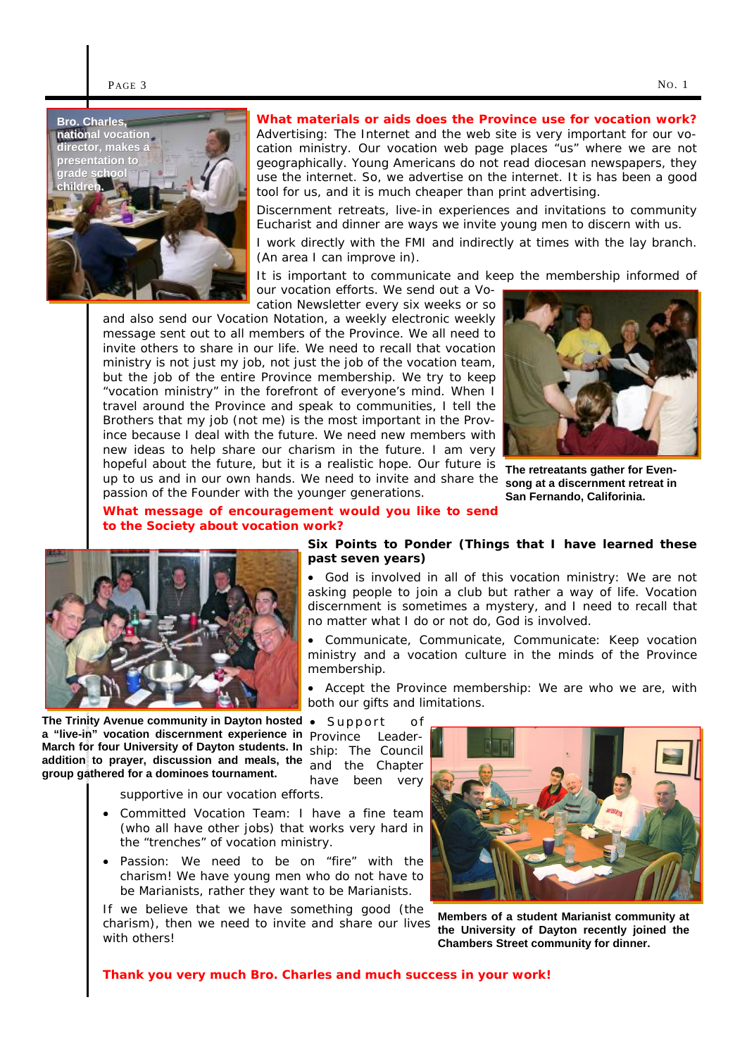

**What materials or aids does the Province use for vocation work?**  Advertising: The Internet and the web site is very important for our vocation ministry. Our vocation web page places "us" where we are not geographically. Young Americans do not read diocesan newspapers, they use the internet. So, we advertise on the internet. It is has been a good tool for us, and it is much cheaper than print advertising.

Discernment retreats, live-in experiences and invitations to community Eucharist and dinner are ways we invite young men to discern with us.

I work directly with the FMI and indirectly at times with the lay branch. (An area I can improve in).

It is important to communicate and keep the membership informed of our vocation efforts. We send out a Vo-

**Six Points to Ponder (***Things that I have learned these* 

• *God is involved in all of this vocation ministry*: We are not asking people to join a club but rather a way of life. Vocation discernment is sometimes a mystery, and I need to recall that

• *Communicate, Communicate, Communicate:* Keep vocation ministry and a vocation culture in the minds of the Province

• *Accept the Province membership:* We are who we are, with

no matter what I do or not do, God is involved.

cation Newsletter every six weeks or so and also send our Vocation Notation, a weekly electronic weekly message sent out to all members of the Province. We all need to invite others to share in our life. We need to recall that vocation ministry is not just my job, not just the job of the vocation team, but the job of the entire Province membership. We try to keep "vocation ministry" in the forefront of everyone's mind. When I travel around the Province and speak to communities, I tell the Brothers that my job (not me) is the most important in the Province because I deal with the future. We need new members with new ideas to help share our charism in the future. I am very hopeful about the future, but it is a realistic hope. Our future is up to us and in our own hands. We need to invite and share the passion of the Founder with the younger generations.



**The retreatants gather for Evensong at a discernment retreat in San Fernando, Califorinia.** 

**What message of encouragement would you like to send to the Society about vocation work?** 



*Province Leader-***a "live-in" vocation discernment experience in The Trinity Avenue community in Dayton hosted March for four University of Dayton students. In addition to prayer, discussion and meals, the group gathered for a dominoes tournament.** 

• *Support of ship:* The Council and the Chapter have been very

both our gifts and limitations.

membership.

*past seven years***)** 

supportive in our vocation efforts.

- *Committed Vocation Team:* I have a fine team (who all have other jobs) that works very hard in the "trenches" of vocation ministry.
- *Passion:* We need to be on "fire" with the charism! We have young men who do not have to be Marianists, rather they want to be Marianists.

If we believe that we have something good (the charism), then we need to invite and share our lives with others!



**Members of a student Marianist community at the University of Dayton recently joined the Chambers Street community for dinner.** 

**Thank you very much Bro. Charles and much success in your work!**